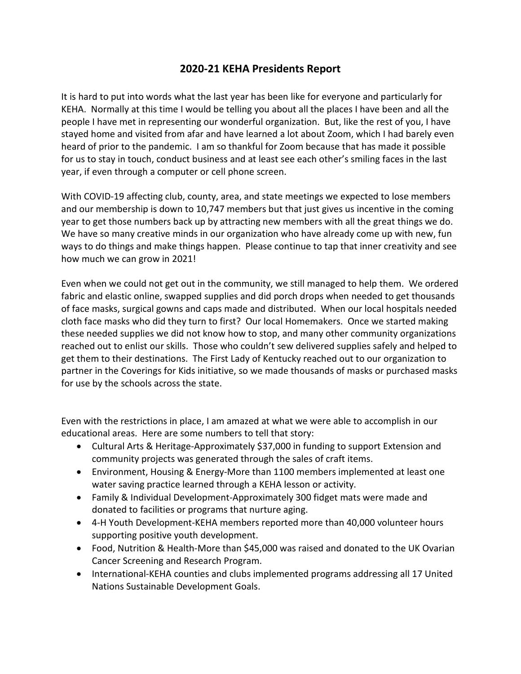## **2020-21 KEHA Presidents Report**

It is hard to put into words what the last year has been like for everyone and particularly for KEHA. Normally at this time I would be telling you about all the places I have been and all the people I have met in representing our wonderful organization. But, like the rest of you, I have stayed home and visited from afar and have learned a lot about Zoom, which I had barely even heard of prior to the pandemic. I am so thankful for Zoom because that has made it possible for us to stay in touch, conduct business and at least see each other's smiling faces in the last year, if even through a computer or cell phone screen.

With COVID-19 affecting club, county, area, and state meetings we expected to lose members and our membership is down to 10,747 members but that just gives us incentive in the coming year to get those numbers back up by attracting new members with all the great things we do. We have so many creative minds in our organization who have already come up with new, fun ways to do things and make things happen. Please continue to tap that inner creativity and see how much we can grow in 2021!

Even when we could not get out in the community, we still managed to help them. We ordered fabric and elastic online, swapped supplies and did porch drops when needed to get thousands of face masks, surgical gowns and caps made and distributed. When our local hospitals needed cloth face masks who did they turn to first? Our local Homemakers. Once we started making these needed supplies we did not know how to stop, and many other community organizations reached out to enlist our skills. Those who couldn't sew delivered supplies safely and helped to get them to their destinations. The First Lady of Kentucky reached out to our organization to partner in the Coverings for Kids initiative, so we made thousands of masks or purchased masks for use by the schools across the state.

Even with the restrictions in place, I am amazed at what we were able to accomplish in our educational areas. Here are some numbers to tell that story:

- Cultural Arts & Heritage-Approximately \$37,000 in funding to support Extension and community projects was generated through the sales of craft items.
- Environment, Housing & Energy-More than 1100 members implemented at least one water saving practice learned through a KEHA lesson or activity.
- Family & Individual Development-Approximately 300 fidget mats were made and donated to facilities or programs that nurture aging.
- 4-H Youth Development-KEHA members reported more than 40,000 volunteer hours supporting positive youth development.
- Food, Nutrition & Health-More than \$45,000 was raised and donated to the UK Ovarian Cancer Screening and Research Program.
- International-KEHA counties and clubs implemented programs addressing all 17 United Nations Sustainable Development Goals.